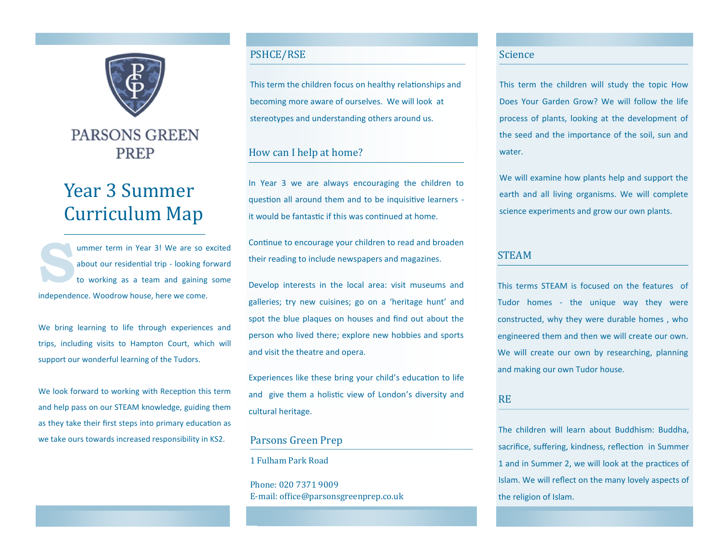

# PARSONS GREEN **PREP**

# Year 3 Summer Curriculum Map

**S** ummer term in Year 3! We are so excited about our residential trip - looking forward to working as a team and gaining some independence. Woodrow house, here we come.

We bring learning to life through experiences and trips, including visits to Hampton Court, which will support our wonderful learning of the Tudors.

We look forward to working with Reception this term and help pass on our STEAM knowledge, guiding them as they take their first steps into primary education as we take ours towards increased responsibility in KS2.

# PSHCE/RSE

This term the children focus on healthy relationships and becoming more aware of ourselves. We will look at stereotypes and understanding others around us.

# How can I help at home?

In Year 3 we are always encouraging the children to question all around them and to be inquisitive learners it would be fantastic if this was continued at home.

Continue to encourage your children to read and broaden their reading to include newspapers and magazines.

Develop interests in the local area: visit museums and galleries; try new cuisines; go on a 'heritage hunt' and spot the blue plaques on houses and find out about the person who lived there; explore new hobbies and sports and visit the theatre and opera.

Experiences like these bring your child's education to life and give them a holistic view of London's diversity and cultural heritage.

# Parsons Green Prep

1 Fulham Park Road

Phone: 020 7371 9009 E-mail: office@parsonsgreenprep.co.uk

#### Science

This term the children will study the topic How Does Your Garden Grow? We will follow the life process of plants, looking at the development of the seed and the importance of the soil, sun and water.

We will examine how plants help and support the earth and all living organisms. We will complete science experiments and grow our own plants.

#### STEAM

This terms STEAM is focused on the features of Tudor homes - the unique way they were constructed, why they were durable homes , who engineered them and then we will create our own. We will create our own by researching, planning and making our own Tudor house.

# RE

The children will learn about Buddhism: Buddha, sacrifice, suffering, kindness, reflection in Summer 1 and in Summer 2, we will look at the practices of Islam. We will reflect on the many lovely aspects of the religion of Islam.